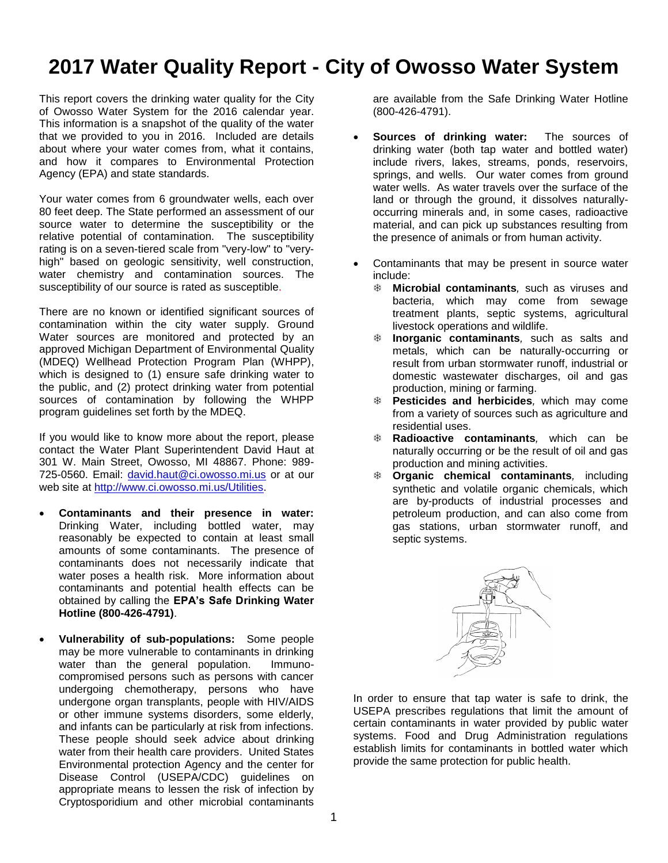## **2017 Water Quality Report - City of Owosso Water System**

This report covers the drinking water quality for the City of Owosso Water System for the 2016 calendar year. This information is a snapshot of the quality of the water that we provided to you in 2016. Included are details about where your water comes from, what it contains, and how it compares to Environmental Protection Agency (EPA) and state standards.

Your water comes from 6 groundwater wells, each over 80 feet deep. The State performed an assessment of our source water to determine the susceptibility or the relative potential of contamination. The susceptibility rating is on a seven-tiered scale from "very-low" to "veryhigh" based on geologic sensitivity, well construction, water chemistry and contamination sources. The susceptibility of our source is rated as susceptible.

There are no known or identified significant sources of contamination within the city water supply. Ground Water sources are monitored and protected by an approved Michigan Department of Environmental Quality (MDEQ) Wellhead Protection Program Plan (WHPP), which is designed to (1) ensure safe drinking water to the public, and (2) protect drinking water from potential sources of contamination by following the WHPP program guidelines set forth by the MDEQ.

If you would like to know more about the report, please contact the Water Plant Superintendent David Haut at 301 W. Main Street, Owosso, MI 48867. Phone: 989- 725-0560. Email: [david.haut@ci.owosso.mi.us](mailto:david.haut@ci.owosso.mi.us) or at our web site at [http://www.ci.owosso.mi.us/Utilities.](http://www.ci.owosso.mi.us/Utilities)

- **Contaminants and their presence in water:**  Drinking Water, including bottled water, may reasonably be expected to contain at least small amounts of some contaminants. The presence of contaminants does not necessarily indicate that water poses a health risk. More information about contaminants and potential health effects can be obtained by calling the **EPA's Safe Drinking Water Hotline (800-426-4791)**.
- **Vulnerability of sub-populations:** Some people may be more vulnerable to contaminants in drinking water than the general population. Immunocompromised persons such as persons with cancer undergoing chemotherapy, persons who have undergone organ transplants, people with HIV/AIDS or other immune systems disorders, some elderly, and infants can be particularly at risk from infections. These people should seek advice about drinking water from their health care providers. United States Environmental protection Agency and the center for Disease Control (USEPA/CDC) guidelines on appropriate means to lessen the risk of infection by Cryptosporidium and other microbial contaminants

are available from the Safe Drinking Water Hotline (800-426-4791).

- **Sources of drinking water:** The sources of drinking water (both tap water and bottled water) include rivers, lakes, streams, ponds, reservoirs, springs, and wells. Our water comes from ground water wells. As water travels over the surface of the land or through the ground, it dissolves naturallyoccurring minerals and, in some cases, radioactive material, and can pick up substances resulting from the presence of animals or from human activity.
- Contaminants that may be present in source water include:
	- **Microbial contaminants***,* such as viruses and bacteria, which may come from sewage treatment plants, septic systems, agricultural livestock operations and wildlife.
	- **Inorganic contaminants***,* such as salts and metals, which can be naturally-occurring or result from urban stormwater runoff, industrial or domestic wastewater discharges, oil and gas production, mining or farming.
	- **Pesticides and herbicides***,* which may come from a variety of sources such as agriculture and residential uses.
	- **Radioactive contaminants***,* which can be naturally occurring or be the result of oil and gas production and mining activities.
	- **Organic chemical contaminants***,* including synthetic and volatile organic chemicals, which are by-products of industrial processes and petroleum production, and can also come from gas stations, urban stormwater runoff, and septic systems.



In order to ensure that tap water is safe to drink, the USEPA prescribes regulations that limit the amount of certain contaminants in water provided by public water systems. Food and Drug Administration regulations establish limits for contaminants in bottled water which provide the same protection for public health.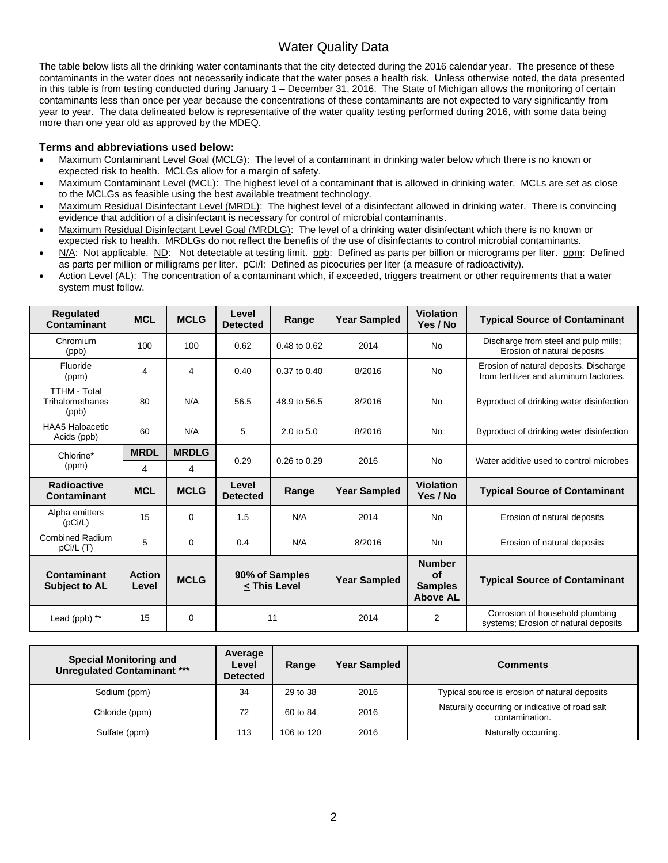## Water Quality Data

The table below lists all the drinking water contaminants that the city detected during the 2016 calendar year. The presence of these contaminants in the water does not necessarily indicate that the water poses a health risk. Unless otherwise noted, the data presented in this table is from testing conducted during January 1 – December 31, 2016. The State of Michigan allows the monitoring of certain contaminants less than once per year because the concentrations of these contaminants are not expected to vary significantly from year to year. The data delineated below is representative of the water quality testing performed during 2016, with some data being more than one year old as approved by the MDEQ.

## **Terms and abbreviations used below:**

- Maximum Contaminant Level Goal (MCLG): The level of a contaminant in drinking water below which there is no known or expected risk to health. MCLGs allow for a margin of safety.
- Maximum Contaminant Level (MCL): The highest level of a contaminant that is allowed in drinking water. MCLs are set as close to the MCLGs as feasible using the best available treatment technology.
- Maximum Residual Disinfectant Level (MRDL): The highest level of a disinfectant allowed in drinking water. There is convincing evidence that addition of a disinfectant is necessary for control of microbial contaminants.
- Maximum Residual Disinfectant Level Goal (MRDLG): The level of a drinking water disinfectant which there is no known or expected risk to health. MRDLGs do not reflect the benefits of the use of disinfectants to control microbial contaminants.
- N/A: Not applicable. ND: Not detectable at testing limit. ppb: Defined as parts per billion or micrograms per liter. ppm: Defined as parts per million or milligrams per liter. pCi/l: Defined as picocuries per liter (a measure of radioactivity).
- Action Level (AL): The concentration of a contaminant which, if exceeded, triggers treatment or other requirements that a water system must follow.

| <b>Regulated</b><br>Contaminant                 | <b>MCL</b>      | <b>MCLG</b>  | Level<br><b>Detected</b>           | Range                 | <b>Year Sampled</b> | <b>Violation</b><br>Yes / No                                    | <b>Typical Source of Contaminant</b>                                              |
|-------------------------------------------------|-----------------|--------------|------------------------------------|-----------------------|---------------------|-----------------------------------------------------------------|-----------------------------------------------------------------------------------|
| Chromium<br>(ppb)                               | 100             | 100          | 0.62                               | 0.48 to 0.62          | 2014                | <b>No</b>                                                       | Discharge from steel and pulp mills;<br>Erosion of natural deposits               |
| Fluoride<br>(ppm)                               | 4               | 4            | 0.40                               | 0.37 to 0.40          | 8/2016              | <b>No</b>                                                       | Erosion of natural deposits. Discharge<br>from fertilizer and aluminum factories. |
| <b>TTHM - Total</b><br>Trihalomethanes<br>(ppb) | 80              | N/A          | 56.5                               | 48.9 to 56.5          | 8/2016              | <b>No</b>                                                       | Byproduct of drinking water disinfection                                          |
| <b>HAA5 Haloacetic</b><br>Acids (ppb)           | 60              | N/A          | 5                                  | $2.0 \text{ to } 5.0$ | 8/2016              | <b>No</b>                                                       | Byproduct of drinking water disinfection                                          |
| Chlorine*<br>(ppm)                              | <b>MRDL</b>     | <b>MRDLG</b> | 0.29                               | $0.26$ to $0.29$      | 2016                | <b>No</b>                                                       | Water additive used to control microbes                                           |
|                                                 | 4               | 4            |                                    |                       |                     |                                                                 |                                                                                   |
| <b>Radioactive</b><br>Contaminant               | <b>MCL</b>      | <b>MCLG</b>  | Level<br><b>Detected</b>           | Range                 | <b>Year Sampled</b> | <b>Violation</b><br>Yes / No                                    | <b>Typical Source of Contaminant</b>                                              |
| Alpha emitters<br>(pCi/L)                       | 15              | $\Omega$     | 1.5                                | N/A                   | 2014                | <b>No</b>                                                       | Erosion of natural deposits                                                       |
| <b>Combined Radium</b><br>pCi/L (T)             | 5               | $\Omega$     | 0.4                                | N/A                   | 8/2016              | <b>No</b>                                                       | Erosion of natural deposits                                                       |
| Contaminant<br><b>Subject to AL</b>             | Action<br>Level | <b>MCLG</b>  | 90% of Samples<br>$\le$ This Level |                       | <b>Year Sampled</b> | <b>Number</b><br><b>of</b><br><b>Samples</b><br><b>Above AL</b> | <b>Typical Source of Contaminant</b>                                              |
| Lead (ppb) **                                   | 15              | $\Omega$     | 11                                 |                       | 2014                | 2                                                               | Corrosion of household plumbing<br>systems; Erosion of natural deposits           |

| <b>Special Monitoring and</b><br><b>Unregulated Contaminant ***</b> | Average<br>Level<br><b>Detected</b> | Range      | <b>Year Sampled</b> | <b>Comments</b>                                                  |
|---------------------------------------------------------------------|-------------------------------------|------------|---------------------|------------------------------------------------------------------|
| Sodium (ppm)                                                        | 34                                  | 29 to 38   | 2016                | Typical source is erosion of natural deposits                    |
| Chloride (ppm)                                                      | 72                                  | 60 to 84   | 2016                | Naturally occurring or indicative of road salt<br>contamination. |
| Sulfate (ppm)                                                       | 113                                 | 106 to 120 | 2016                | Naturally occurring.                                             |